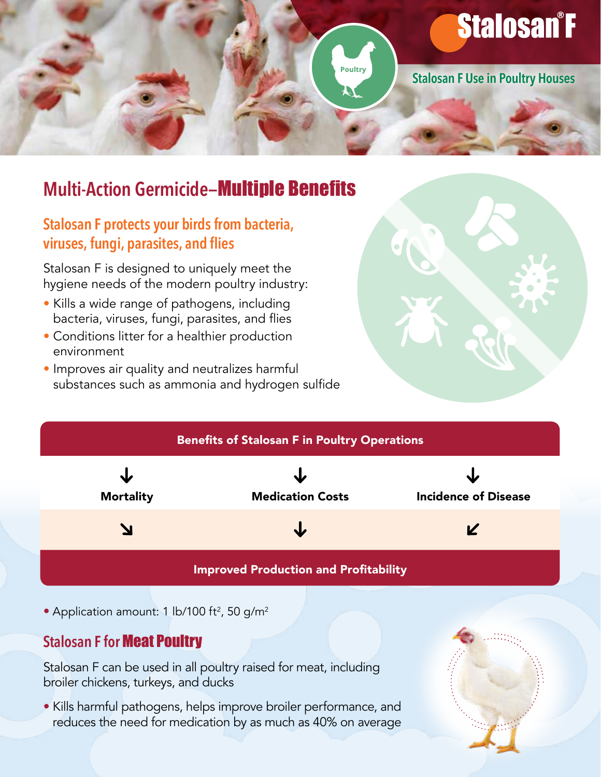

# **Multi-Action Germicide-Multiple Benefits**

#### Stalosan F protects your birds from bacteria, viruses, fungi, parasites, and flies

Stalosan F is designed to uniquely meet the hygiene needs of the modern poultry industry:

- Kills a wide range of pathogens, including bacteria, viruses, fungi, parasites, and flies
- Conditions litter for a healthier production environment
- Improves air quality and neutralizes harmful substances such as ammonia and hydrogen sulfide





• Application amount: 1 lb/100 ft<sup>2</sup>, 50 g/m<sup>2</sup>

## **Stalosan F for Meat Poultry**

Stalosan F can be used in all poultry raised for meat, including broiler chickens, turkeys, and ducks

• Kills harmful pathogens, helps improve broiler performance, and reduces the need for medication by as much as 40% on average